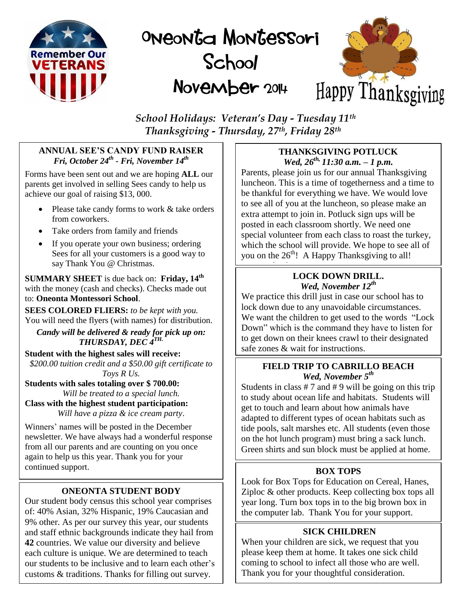

# ONEONG MONGESSOLI School November 2014



*School Holidays: Veteran's Day - Tuesday 11th Thanksgiving - Thursday, 27th, Friday 28th*

# **ANNUAL SEE'S CANDY FUND RAISER** *Fri, October 24 th - Fri, November 14 th*

Forms have been sent out and we are hoping **ALL** our parents get involved in selling Sees candy to help us achieve our goal of raising \$13, 000.

- Please take candy forms to work & take orders from coworkers.
- Take orders from family and friends
- If you operate your own business; ordering Sees for all your customers is a good way to say Thank You @ Christmas.

**SUMMARY SHEET** is due back on: **Friday, 14 th** with the money (cash and checks). Checks made out to: **Oneonta Montessori School**.

**SEES COLORED FLIERS:** *to be kept with you.* You will need the flyers (with names) for distribution.

*Candy will be delivered & ready for pick up on: THURSDAY, DEC 4 TH.*

**Student with the highest sales will receive:** *\$200.00 tuition credit and a \$50.00 gift certificate to Toys R Us.*

**Students with sales totaling over \$ 700.00:** *Will be treated to a special lunch.*

**Class with the highest student participation:** *Will have a pizza & ice cream party*.

Winners' names will be posted in the December newsletter. We have always had a wonderful response from all our parents and are counting on you once again to help us this year. Thank you for your continued support.

# **ONEONTA STUDENT BODY**

Our student body census this school year comprises of: 40% Asian, 32% Hispanic, 19% Caucasian and 9% other. As per our survey this year, our students and staff ethnic backgrounds indicate they hail from **42** countries. We value our diversity and believe each culture is unique. We are determined to teach our students to be inclusive and to learn each other's customs & traditions. Thanks for filling out survey.

# **THANKSGIVING POTLUCK** *Wed, 26th, 11:30 a.m. – 1 p.m.*

Parents, please join us for our annual Thanksgiving luncheon. This is a time of togetherness and a time to be thankful for everything we have. We would love to see all of you at the luncheon, so please make an extra attempt to join in. Potluck sign ups will be posted in each classroom shortly. We need one special volunteer from each class to roast the turkey, which the school will provide. We hope to see all of you on the  $26<sup>th</sup>$ ! A Happy Thanksgiving to all!

#### Happy Thanksgiving! **LOCK DOWN DRILL.**  *Wed, November 12 th*

We practice this drill just in case our school has to lock down due to any unavoidable circumstances. We want the children to get used to the words "Lock Down" which is the command they have to listen for to get down on their knees crawl to their designated safe zones & wait for instructions.

# **FIELD TRIP TO CABRILLO BEACH** *Wed, November 5th*

Students in class  $# 7$  and  $# 9$  will be going on this trip to study about ocean life and habitats. Students will get to touch and learn about how animals have adapted to different types of ocean habitats such as tide pools, salt marshes etc. All students (even those on the hot lunch program) must bring a sack lunch. Green shirts and sun block must be applied at home.

# **BOX TOPS**

Look for Box Tops for Education on Cereal, Hanes, Ziploc & other products. Keep collecting box tops all year long. Turn box tops in to the big brown box in the computer lab. Thank You for your support.

# **SICK CHILDREN**

When your children are sick, we request that you please keep them at home. It takes one sick child coming to school to infect all those who are well. Thank you for your thoughtful consideration.